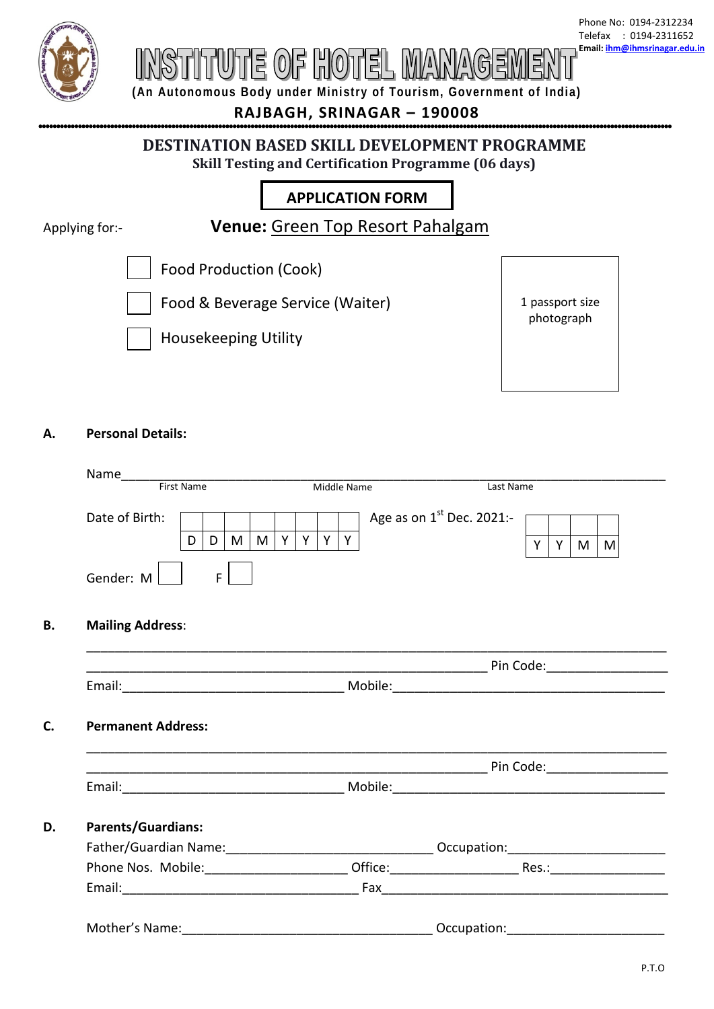

# UTE OF HOTEL M

**(An Autonomous Body under Ministry of Tourism, Government of India)**

**RAJBAGH, SRINAGAR – 190008**

## **DESTINATION BASED SKILL DEVELOPMENT PROGRAMME Skill Testing and Certification Programme (06 days)**

# **APPLICATION FORM**

Applying for:-

**Venue:** Green Top Resort Pahalgam

Food Production (Cook)

Food & Beverage Service (Waiter)





# **A. Personal Details:**

|                                                        | Name______<br>First Name |        |  | Middle Name |  |       |  |  | Last Name                   |  |    |     |
|--------------------------------------------------------|--------------------------|--------|--|-------------|--|-------|--|--|-----------------------------|--|----|-----|
|                                                        |                          |        |  |             |  |       |  |  |                             |  |    |     |
| Date of Birth:                                         |                          |        |  |             |  |       |  |  | Age as on $1st$ Dec. 2021:- |  |    |     |
|                                                        | D                        | D<br>M |  | $M$ $Y$     |  | Y Y Y |  |  |                             |  | YY | M M |
| Gender: M                                              |                          | F.     |  |             |  |       |  |  |                             |  |    |     |
| <b>Mailing Address:</b>                                |                          |        |  |             |  |       |  |  |                             |  |    |     |
|                                                        |                          |        |  |             |  |       |  |  |                             |  |    |     |
|                                                        |                          |        |  |             |  |       |  |  |                             |  |    |     |
|                                                        |                          |        |  |             |  |       |  |  |                             |  |    |     |
|                                                        |                          |        |  |             |  |       |  |  |                             |  |    |     |
|                                                        |                          |        |  |             |  |       |  |  |                             |  |    |     |
|                                                        |                          |        |  |             |  |       |  |  |                             |  |    |     |
|                                                        |                          |        |  |             |  |       |  |  |                             |  |    |     |
|                                                        |                          |        |  |             |  |       |  |  |                             |  |    |     |
| <b>Permanent Address:</b><br><b>Parents/Guardians:</b> |                          |        |  |             |  |       |  |  |                             |  |    |     |